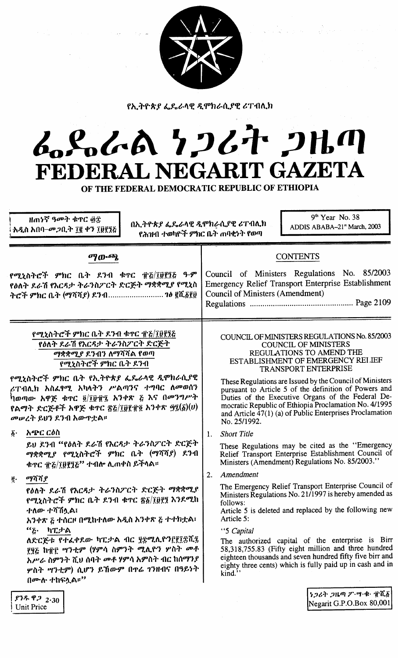

የኢትዮጵያ ፌዴራላዊ ዲሞክራሲያዊ ሪፐብሊክ

# GoSoGA 7267 2HM L NEGARIT GAZETA **FEDERA**

OF THE FEDERAL DEMOCRATIC REPUBLIC OF ETHIOPIA

ዘጠነኛ ዓመት ቁጥር ፴፰ አዲስ አበባ–መጋቢት ፲፪ ቀን ፲፱፻፺፭

በኢትዮጵያ ፌዴራላዊ ዲሞክራሲያዊ ሪፐብሊክ የሕዝብ ተወካዮች ምክር ቤት ጠባቂነት የወጣ

 $9<sup>th</sup>$  Year No. 38 ADDIS ABABA-21<sup>st</sup> March, 2003

| $\sigma$ [ <i>m</i> - $\sigma$ <i>p</i>                                                                                                                                                                                                                                                                                                                              | <b>CONTENTS</b>                                                                                                                                                                                                                                                                                                                                                                                                                                                                            |
|----------------------------------------------------------------------------------------------------------------------------------------------------------------------------------------------------------------------------------------------------------------------------------------------------------------------------------------------------------------------|--------------------------------------------------------------------------------------------------------------------------------------------------------------------------------------------------------------------------------------------------------------------------------------------------------------------------------------------------------------------------------------------------------------------------------------------------------------------------------------------|
| የሚኒስትሮች ምክር ቤት ደንብ ቁጥር ፹፭/፲፱፻፺፭ ዓ.ም<br>የዕለት ደራሽ የእርዳታ ትራንስፖርት ድርጅት ማቋቋሚያ የሚኒስ<br>ትሮች ምክር ቤት (ማሻሻያ) ደንብ ንፅ ፪ሺ፩፻፱                                                                                                                                                                                                                                                      | Council of Ministers Regulations No. 85/2003<br>Emergency Relief Transport Enterprise Establishment<br><b>Council of Ministers (Amendment)</b>                                                                                                                                                                                                                                                                                                                                             |
| የሚኒስትሮች ምክር ቤት ደንብ ቁጥር ፹፩/፲፱፻፺፩<br>የዕለት ደራሽ የእርዳታ ትራንስፖርት ድርጅት<br>ማቋቋሚያ ደንብን ለማሻሻል የወጣ<br>የሚኒስትሮች ምክር ቤት ደንብ<br>የሚኒስትሮች ምክር ቤት የኢትዮጵያ ፌዴራላዊ ዲሞክራሲያዊ<br>ራፐብሊክ አስፌፃሚ አካላትን ሥልጣንና ተግባር ለመወሰን<br>ካወጣው አዋጅ ቁጥር ፬/፲፱፹፯ አንቀጽ ፩ እና በመንግሥት<br>የልማት ድርጅቶች አዋጅ ቁጥር ፳፭/፲፱፻፹፬ አንቀጽ ፵፯(፩) $(v)$<br>መሠረት ይህን ደንብ አውዋቷል።                                                             | COUNCIL OF MINISTERS REGULATIONS No. 85/2003<br><b>COUNCIL OF MINISTERS</b><br>REGULATIONS TO AMEND THE<br>ESTABLISHMENT OF EMERGENCY RELIEF<br><b>TRANSPORT ENTERPRISE</b><br>These Regulations are Issued by the Council of Ministers<br>pursuant to Article 5 of the definition of Powers and<br>Duties of the Executive Organs of the Federal De-<br>mocratic Republic of Ethiopia Proclamation No. 4/1995<br>and Article 47(1) (a) of Public Enterprises Proclamation<br>No. 25/1992. |
| አጭር ርዕስ<br>$\delta$ .<br>ይህ ደንብ "የዕለት ደራሽ የእርዳታ ትራንስፖርት ድርጅት<br>ማቋቋሚያ የሚኒስትሮች ምክር ቤት (ማሻሻያ) ደንብ<br>ቁዋር ፹፩/፲፱፻፺፩" ተብሎ ሊጠቀስ ይችላል።                                                                                                                                                                                                                                      | <b>Short Title</b><br>1.<br>These Regulations may be cited as the "Emergency<br>Relief Transport Enterprise Establishment Council of<br>Ministers (Amendment) Regulations No. 85/2003."                                                                                                                                                                                                                                                                                                    |
| $\ddot{g}$ . $q\eta\ddot{\eta}\dot{\eta}$ $g$<br>የዕለት ደራሽ የእርዳታ ትራንስፖርት ድርጅት ማቋቋሚያ<br>የሚኒስትሮች ምክር ቤት ደንብ ቁጥር ፳፩/፲፱፻፺ እንደሚከ<br>ተለው ተሻሽሏል፤<br>አንቀጽ ፩ ተሰርዞ በሚከተለው አዲስ አንቀጽ ፩ ተተክቷል፣<br>"ሬ ካፒታል<br>ለድርጅቱ የተፈቀደው ካፒታል ብር ፶፰ሚሊዮን፫፻፲፰ሺ፯<br>፻፶፭ ከ፹፫ ሣንቲም (ሃምሳ ስምንት ሚሊዮን ሦስት መቶ<br>አሥራ ስምንት ሺህ ሰባት መቶ ሃምሳ አምስት ብር ከሰማንያ<br>ሦስት ሣንቲም) ሲሆን ይኸውም በዋሬ ገንዘብና በዓይነት<br>በሙሉ ተከፍሏል።'' | Amendment<br>2.<br>The Emergency Relief Transport Enterprise Council of<br>Ministers Regulations No. 21/1997 is hereby amended as<br>follows:<br>Article 5 is deleted and replaced by the following new<br>Article 5:<br>"5 Capital<br>The authorized capital of the enterprise is Birr<br>58,318,755.83 (Fifty eight million and three hundred<br>eighteen thousands and seven hundred fifty five birr and<br>eighty three cents) which is fully paid up in cash and in<br>kind."         |
| የዓይ ወግ                                                                                                                                                                                                                                                                                                                                                               | ነ <i>ጋሪት ጋዜጣ ፖ</i> …ሣ·ቁ· ፹ሺ፩                                                                                                                                                                                                                                                                                                                                                                                                                                                               |

Negarit G.P.O.Box 80,001